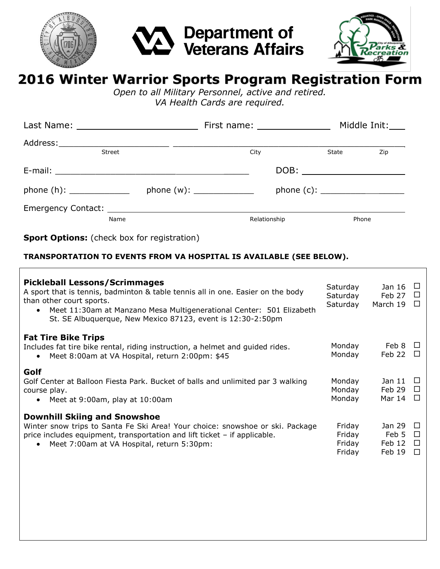





# **2016 Winter Warrior Sports Program Registration Form**

*Open to all Military Personnel, active and retired. VA Health Cards are required.*

|                          |  | First name: ________________ |  | Middle Init: |       |
|--------------------------|--|------------------------------|--|--------------|-------|
| Street                   |  | City                         |  | State        | Zip   |
|                          |  |                              |  |              |       |
| phone (h): $\frac{1}{2}$ |  |                              |  |              |       |
| Name                     |  | Relationship                 |  |              | Phone |

**Sport Options:** (check box for registration)

### **TRANSPORTATION TO EVENTS FROM VA HOSPITAL IS AVAILABLE (SEE BELOW).**

| <b>Pickleball Lessons/Scrimmages</b><br>A sport that is tennis, badminton & table tennis all in one. Easier on the body<br>than other court sports.<br>Meet 11:30am at Manzano Mesa Multigenerational Center: 501 Elizabeth<br>St. SE Albuquerque, New Mexico 87123, event is 12:30-2:50pm | Saturday<br>Saturday<br>Saturday     | Jan 16<br>Feb 27<br>$\perp$<br>March 19                                |  |
|--------------------------------------------------------------------------------------------------------------------------------------------------------------------------------------------------------------------------------------------------------------------------------------------|--------------------------------------|------------------------------------------------------------------------|--|
| <b>Fat Tire Bike Trips</b><br>Includes fat tire bike rental, riding instruction, a helmet and guided rides.<br>Meet 8:00am at VA Hospital, return 2:00pm: \$45<br>$\bullet$                                                                                                                | Monday<br>Monday                     | Feb 8 $\Box$<br>Feb 22                                                 |  |
| Golf<br>Golf Center at Balloon Fiesta Park. Bucket of balls and unlimited par 3 walking<br>course play.<br>• Meet at $9:00$ am, play at $10:00$ am                                                                                                                                         | Monday<br>Monday<br>Monday           | Jan 11<br>Feb 29 $\Box$<br>Mar 14                                      |  |
| <b>Downhill Skiing and Snowshoe</b><br>Winter snow trips to Santa Fe Ski Area! Your choice: snowshoe or ski. Package<br>price includes equipment, transportation and lift ticket $-$ if applicable.<br>Meet 7:00am at VA Hospital, return 5:30pm:<br>$\bullet$                             | Friday<br>Friday<br>Friday<br>Friday | Jan 29<br>$\overline{a}$<br>Feb 5 $\Box$<br>Feb 12<br>$\Box$<br>Feb 19 |  |